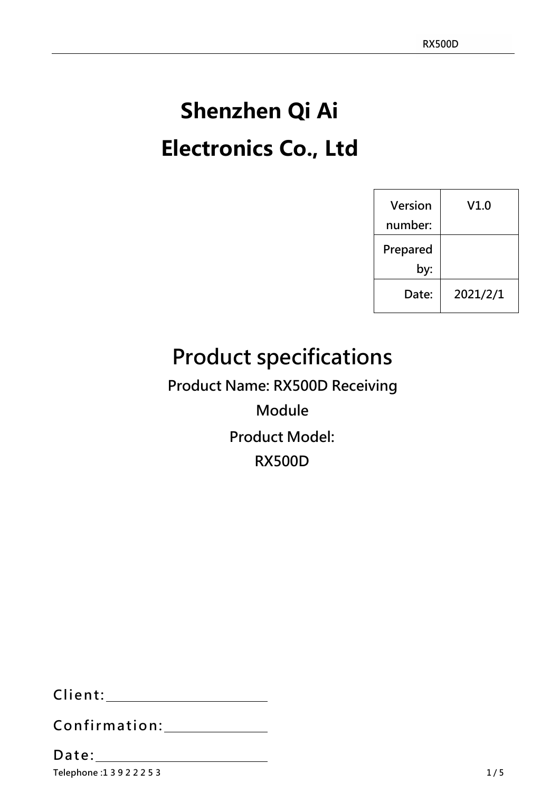# **Shenzhen Qi Ai Electronics Co., Ltd**

| Version  | V1.0     |
|----------|----------|
| number:  |          |
| Prepared |          |
| by:      |          |
| Date:    | 2021/2/1 |

# **Product specifications**

**Product Name: RX500D Receiving**

**Module Product Model: RX500D**

**Client:**

**Confirmation:**

**Telephone :1 3 9 2 2 2 5 3 Date:**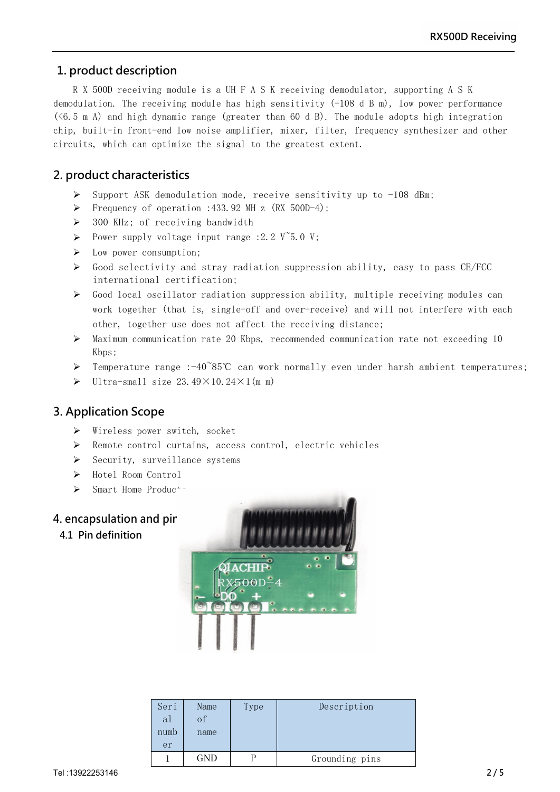**Module** 

# **1. product description**

R X 500D receiving module is a UH F A S K receiving demodulator, supporting A S K demodulation. The receiving module has high sensitivity (-108 d B m), low power performance  $(\leq 6.5 \text{ m A})$  and high dynamic range (greater than 60 d B). The module adopts high integration chip, built-in front-end low noise amplifier, mixer, filter, frequency synthesizer and other circuits, which can optimize the signal to the greatest extent.

# **2. product characteristics**

- $\triangleright$  Support ASK demodulation mode, receive sensitivity up to -108 dBm;
- Frequency of operation :433.92 MH z  $(RX 500D-4)$ ;
- $\geq$  300 KHz; of receiving bandwidth
- Power supply voltage input range :2.2  $V$ <sup> $\sim$ </sup>5.0 V;
- > Low power consumption;
- $\triangleright$  Good selectivity and stray radiation suppression ability, easy to pass CE/FCC international certification;
- $\triangleright$  Good local oscillator radiation suppression ability, multiple receiving modules can work together (that is, single-off and over-receive) and will not interfere with each other, together use does not affect the receiving distance;
- Maximum communication rate 20 Kbps, recommended communication rate not exceeding 10 Kbps;
- Temperature range :-40~85℃ can work normally even under harsh ambient temperatures;
- $\triangleright$  Ultra-small size 23.49×10.24×1(m m)

# **3. Application Scope**

- $\triangleright$  Wireless power switch, socket
- Remote control curtains, access control, electric vehicles
- $\triangleright$  Security, surveillance systems
- Hotel Room Control
- $\triangleright$  Smart Home Produc<sup>+-</sup>

# **4. encapsulation** and pir

**4.1 Pin definition**



| Seri<br>al<br>numb | Name<br>of<br>name | Type | Description    |
|--------------------|--------------------|------|----------------|
| er                 |                    |      |                |
|                    | GND                |      | Grounding pins |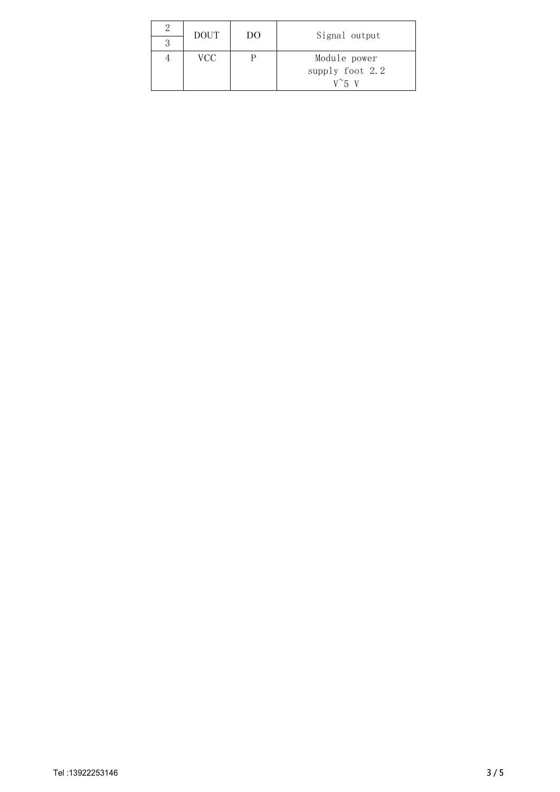| <b>DOUT</b> | DO | Signal output   |
|-------------|----|-----------------|
|             |    |                 |
| VCC         |    | Module power    |
|             |    | supply foot 2.2 |
|             |    | $V^{\sim}$ 5 V  |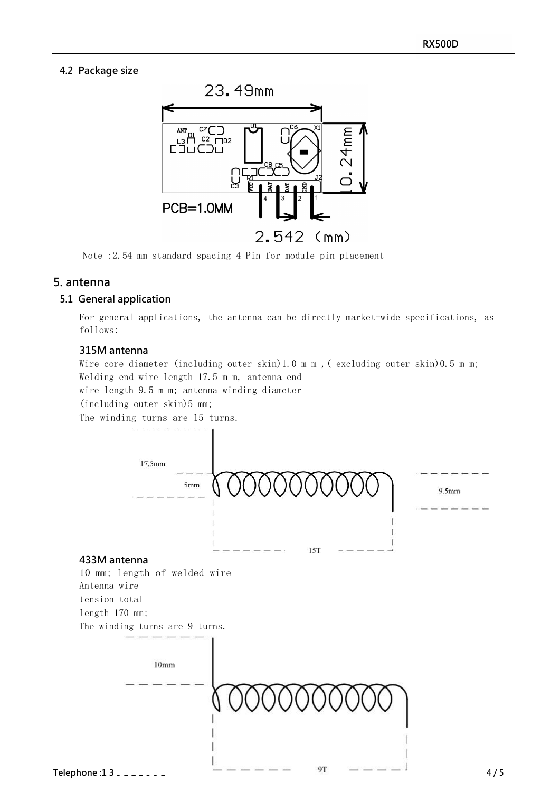## **4.2 Package size**



Note :2.54 mm standard spacing 4 Pin for module pin placement

# **5. antenna**

#### **5.1 General application**

For general applications, the antenna can be directly market-wide specifications, as follows:

#### **315M antenna**

Wire core diameter (including outer skin)1.0 m m , ( excluding outer skin)0.5 m m; Welding end wire length 17.5 m m, antenna end

wire length 9.5 m m; antenna winding diameter

(including outer skin)5 mm;

The winding turns are 15 turns.